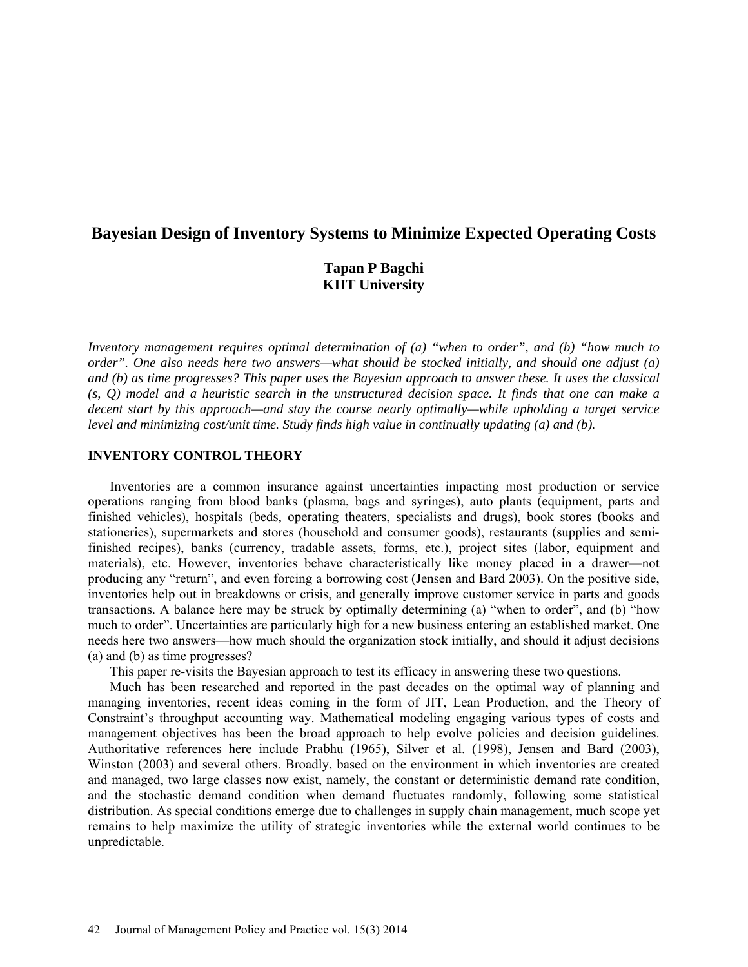# **Bayesian Design of Inventory Systems to Minimize Expected Operating Costs**

# **Tapan P Bagchi KIIT University**

*Inventory management requires optimal determination of (a) "when to order", and (b) "how much to order". One also needs here two answers—what should be stocked initially, and should one adjust (a) and (b) as time progresses? This paper uses the Bayesian approach to answer these. It uses the classical (s, Q) model and a heuristic search in the unstructured decision space. It finds that one can make a decent start by this approach—and stay the course nearly optimally—while upholding a target service level and minimizing cost/unit time. Study finds high value in continually updating (a) and (b).*

### **INVENTORY CONTROL THEORY**

Inventories are a common insurance against uncertainties impacting most production or service operations ranging from blood banks (plasma, bags and syringes), auto plants (equipment, parts and finished vehicles), hospitals (beds, operating theaters, specialists and drugs), book stores (books and stationeries), supermarkets and stores (household and consumer goods), restaurants (supplies and semifinished recipes), banks (currency, tradable assets, forms, etc.), project sites (labor, equipment and materials), etc. However, inventories behave characteristically like money placed in a drawer—not producing any "return", and even forcing a borrowing cost (Jensen and Bard 2003). On the positive side, inventories help out in breakdowns or crisis, and generally improve customer service in parts and goods transactions. A balance here may be struck by optimally determining (a) "when to order", and (b) "how much to order". Uncertainties are particularly high for a new business entering an established market. One needs here two answers—how much should the organization stock initially, and should it adjust decisions (a) and (b) as time progresses?

This paper re-visits the Bayesian approach to test its efficacy in answering these two questions.

Much has been researched and reported in the past decades on the optimal way of planning and managing inventories, recent ideas coming in the form of JIT, Lean Production, and the Theory of Constraint's throughput accounting way. Mathematical modeling engaging various types of costs and management objectives has been the broad approach to help evolve policies and decision guidelines. Authoritative references here include Prabhu (1965), Silver et al. (1998), Jensen and Bard (2003), Winston (2003) and several others. Broadly, based on the environment in which inventories are created and managed, two large classes now exist, namely, the constant or deterministic demand rate condition, and the stochastic demand condition when demand fluctuates randomly, following some statistical distribution. As special conditions emerge due to challenges in supply chain management, much scope yet remains to help maximize the utility of strategic inventories while the external world continues to be unpredictable.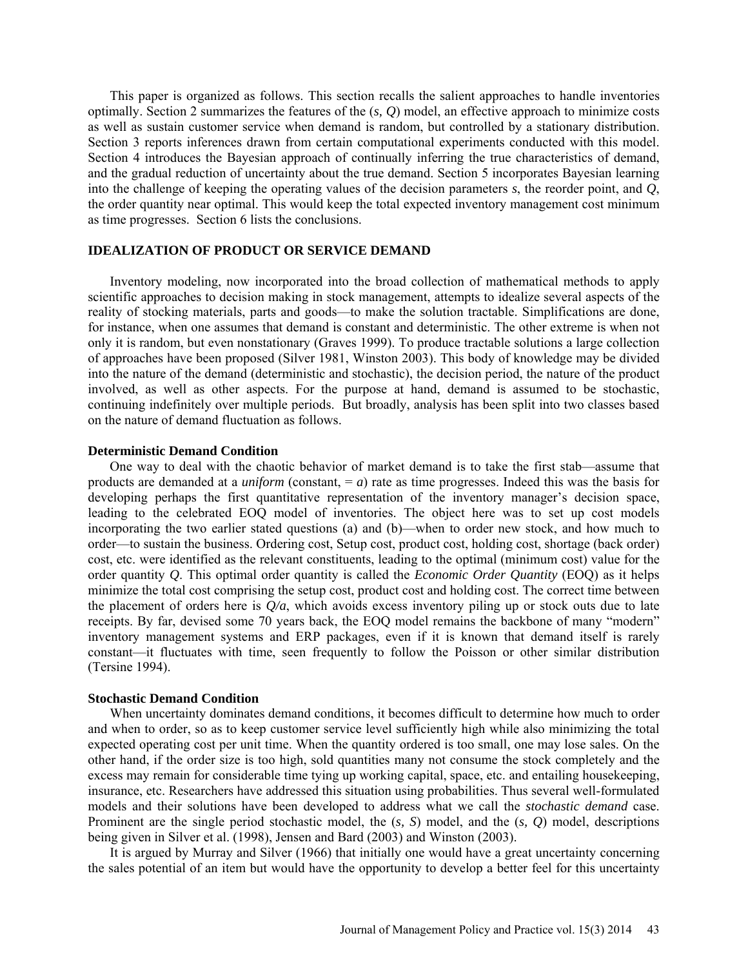This paper is organized as follows. This section recalls the salient approaches to handle inventories optimally. Section 2 summarizes the features of the (*s, Q*) model, an effective approach to minimize costs as well as sustain customer service when demand is random, but controlled by a stationary distribution. Section 3 reports inferences drawn from certain computational experiments conducted with this model. Section 4 introduces the Bayesian approach of continually inferring the true characteristics of demand, and the gradual reduction of uncertainty about the true demand. Section 5 incorporates Bayesian learning into the challenge of keeping the operating values of the decision parameters *s*, the reorder point, and *Q*, the order quantity near optimal. This would keep the total expected inventory management cost minimum as time progresses. Section 6 lists the conclusions.

### **IDEALIZATION OF PRODUCT OR SERVICE DEMAND**

Inventory modeling, now incorporated into the broad collection of mathematical methods to apply scientific approaches to decision making in stock management, attempts to idealize several aspects of the reality of stocking materials, parts and goods—to make the solution tractable. Simplifications are done, for instance, when one assumes that demand is constant and deterministic. The other extreme is when not only it is random, but even nonstationary (Graves 1999). To produce tractable solutions a large collection of approaches have been proposed (Silver 1981, Winston 2003). This body of knowledge may be divided into the nature of the demand (deterministic and stochastic), the decision period, the nature of the product involved, as well as other aspects. For the purpose at hand, demand is assumed to be stochastic, continuing indefinitely over multiple periods. But broadly, analysis has been split into two classes based on the nature of demand fluctuation as follows.

#### **Deterministic Demand Condition**

One way to deal with the chaotic behavior of market demand is to take the first stab—assume that products are demanded at a *uniform* (constant,  $= a$ ) rate as time progresses. Indeed this was the basis for developing perhaps the first quantitative representation of the inventory manager's decision space, leading to the celebrated EOQ model of inventories. The object here was to set up cost models incorporating the two earlier stated questions (a) and (b)—when to order new stock, and how much to order—to sustain the business. Ordering cost, Setup cost, product cost, holding cost, shortage (back order) cost, etc. were identified as the relevant constituents, leading to the optimal (minimum cost) value for the order quantity *Q*. This optimal order quantity is called the *Economic Order Quantity* (EOQ) as it helps minimize the total cost comprising the setup cost, product cost and holding cost. The correct time between the placement of orders here is  $Q/a$ , which avoids excess inventory piling up or stock outs due to late receipts. By far, devised some 70 years back, the EOQ model remains the backbone of many "modern" inventory management systems and ERP packages, even if it is known that demand itself is rarely constant—it fluctuates with time, seen frequently to follow the Poisson or other similar distribution (Tersine 1994).

#### **Stochastic Demand Condition**

When uncertainty dominates demand conditions, it becomes difficult to determine how much to order and when to order, so as to keep customer service level sufficiently high while also minimizing the total expected operating cost per unit time. When the quantity ordered is too small, one may lose sales. On the other hand, if the order size is too high, sold quantities many not consume the stock completely and the excess may remain for considerable time tying up working capital, space, etc. and entailing housekeeping, insurance, etc. Researchers have addressed this situation using probabilities. Thus several well-formulated models and their solutions have been developed to address what we call the *stochastic demand* case. Prominent are the single period stochastic model, the (*s, S*) model, and the (*s, Q*) model, descriptions being given in Silver et al. (1998), Jensen and Bard (2003) and Winston (2003).

It is argued by Murray and Silver (1966) that initially one would have a great uncertainty concerning the sales potential of an item but would have the opportunity to develop a better feel for this uncertainty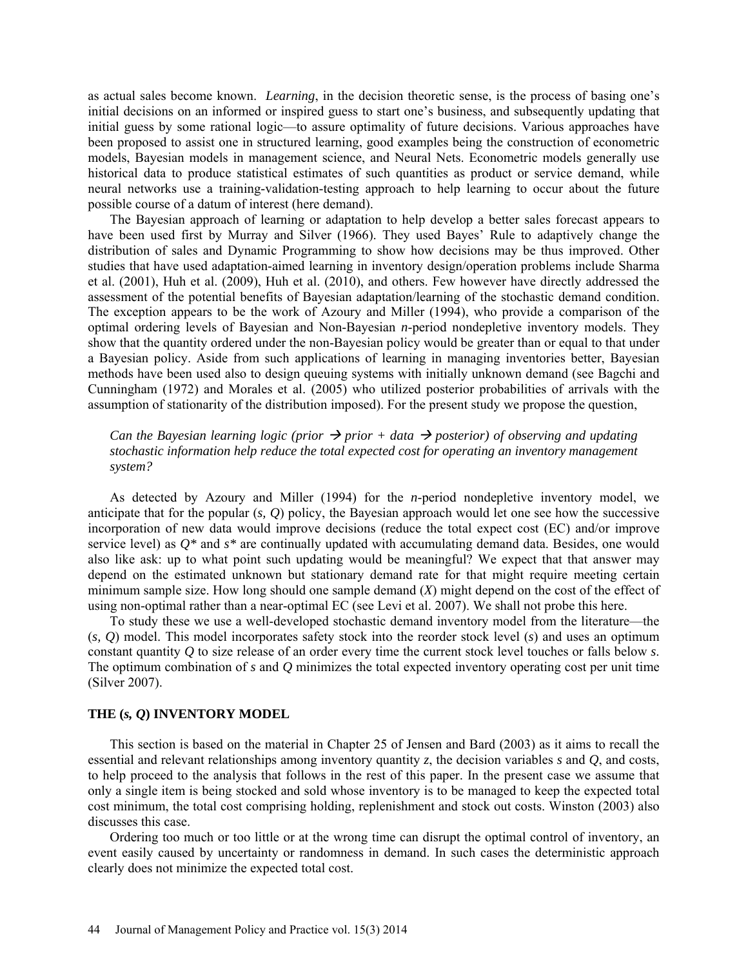as actual sales become known. *Learning*, in the decision theoretic sense, is the process of basing one's initial decisions on an informed or inspired guess to start one's business, and subsequently updating that initial guess by some rational logic—to assure optimality of future decisions. Various approaches have been proposed to assist one in structured learning, good examples being the construction of econometric models, Bayesian models in management science, and Neural Nets. Econometric models generally use historical data to produce statistical estimates of such quantities as product or service demand, while neural networks use a training-validation-testing approach to help learning to occur about the future possible course of a datum of interest (here demand).

The Bayesian approach of learning or adaptation to help develop a better sales forecast appears to have been used first by Murray and Silver (1966). They used Bayes' Rule to adaptively change the distribution of sales and Dynamic Programming to show how decisions may be thus improved. Other studies that have used adaptation-aimed learning in inventory design/operation problems include Sharma et al. (2001), Huh et al. (2009), Huh et al. (2010), and others. Few however have directly addressed the assessment of the potential benefits of Bayesian adaptation/learning of the stochastic demand condition. The exception appears to be the work of Azoury and Miller (1994), who provide a comparison of the optimal ordering levels of Bayesian and Non-Bayesian *n*-period nondepletive inventory models. They show that the quantity ordered under the non-Bayesian policy would be greater than or equal to that under a Bayesian policy. Aside from such applications of learning in managing inventories better, Bayesian methods have been used also to design queuing systems with initially unknown demand (see Bagchi and Cunningham (1972) and Morales et al. (2005) who utilized posterior probabilities of arrivals with the assumption of stationarity of the distribution imposed). For the present study we propose the question,

## *Can the Bayesian learning logic (prior*  $\rightarrow$  *prior + data*  $\rightarrow$  *posterior) of observing and updating stochastic information help reduce the total expected cost for operating an inventory management system?*

As detected by Azoury and Miller (1994) for the *n*-period nondepletive inventory model, we anticipate that for the popular (*s, Q*) policy, the Bayesian approach would let one see how the successive incorporation of new data would improve decisions (reduce the total expect cost (EC) and/or improve service level) as *Q\** and *s\** are continually updated with accumulating demand data. Besides, one would also like ask: up to what point such updating would be meaningful? We expect that that answer may depend on the estimated unknown but stationary demand rate for that might require meeting certain minimum sample size. How long should one sample demand (*X*) might depend on the cost of the effect of using non-optimal rather than a near-optimal EC (see Levi et al. 2007). We shall not probe this here.

To study these we use a well-developed stochastic demand inventory model from the literature—the (*s, Q*) model. This model incorporates safety stock into the reorder stock level (*s*) and uses an optimum constant quantity *Q* to size release of an order every time the current stock level touches or falls below *s*. The optimum combination of *s* and *Q* minimizes the total expected inventory operating cost per unit time (Silver 2007).

## **THE (***s, Q***) INVENTORY MODEL**

This section is based on the material in Chapter 25 of Jensen and Bard (2003) as it aims to recall the essential and relevant relationships among inventory quantity *z*, the decision variables *s* and *Q*, and costs, to help proceed to the analysis that follows in the rest of this paper. In the present case we assume that only a single item is being stocked and sold whose inventory is to be managed to keep the expected total cost minimum, the total cost comprising holding, replenishment and stock out costs. Winston (2003) also discusses this case.

Ordering too much or too little or at the wrong time can disrupt the optimal control of inventory, an event easily caused by uncertainty or randomness in demand. In such cases the deterministic approach clearly does not minimize the expected total cost.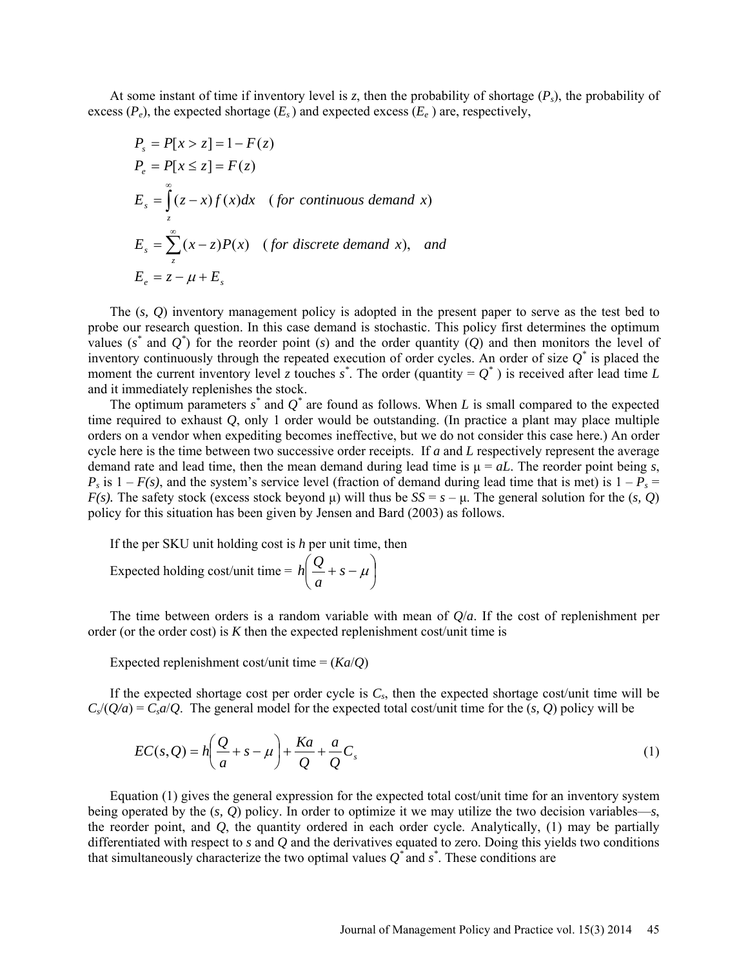At some instant of time if inventory level is z, then the probability of shortage  $(P_s)$ , the probability of excess  $(P_e)$ , the expected shortage  $(E_s)$  and expected excess  $(E_e)$  are, respectively,

$$
P_s = P[x > z] = 1 - F(z)
$$
  
\n
$$
P_e = P[x \le z] = F(z)
$$
  
\n
$$
E_s = \int_z^{\infty} (z - x) f(x) dx \quad \text{(for continuous demand x)}
$$
  
\n
$$
E_s = \sum_z^{\infty} (x - z) P(x) \quad \text{(for discrete demand x), and}
$$
  
\n
$$
E_e = z - \mu + E_s
$$

The (*s, Q*) inventory management policy is adopted in the present paper to serve as the test bed to probe our research question. In this case demand is stochastic. This policy first determines the optimum values  $(s^*$  and  $Q^*$ ) for the reorder point  $(s)$  and the order quantity  $(Q)$  and then monitors the level of inventory continuously through the repeated execution of order cycles. An order of size *Q\** is placed the moment the current inventory level *z* touches  $s^*$ . The order (quantity =  $Q^*$ ) is received after lead time *L* and it immediately replenishes the stock.

The optimum parameters  $s^*$  and  $Q^*$  are found as follows. When *L* is small compared to the expected time required to exhaust *Q*, only 1 order would be outstanding. (In practice a plant may place multiple orders on a vendor when expediting becomes ineffective, but we do not consider this case here.) An order cycle here is the time between two successive order receipts. If *a* and *L* respectively represent the average demand rate and lead time, then the mean demand during lead time is μ = *aL*. The reorder point being *s*,  $P_s$  is  $1 - F(s)$ , and the system's service level (fraction of demand during lead time that is met) is  $1 - P_s =$ *F(s).* The safety stock (excess stock beyond  $\mu$ ) will thus be  $SS = s - \mu$ . The general solution for the (*s*, *Q*) policy for this situation has been given by Jensen and Bard (2003) as follows.

If the per SKU unit holding cost is *h* per unit time, then

Expected holding cost/unit time =  $|h| \leq + s - \mu$ J  $\left(\frac{Q}{-}+s-\mu\right)$  $\setminus$  $\left( \frac{Q}{s} + s - \mu \right)$ *a <sup>Q</sup> <sup>h</sup>*

The time between orders is a random variable with mean of *Q*/*a*. If the cost of replenishment per order (or the order cost) is *K* then the expected replenishment cost/unit time is

Expected replenishment cost/unit time =  $(Ka/Q)$ 

If the expected shortage cost per order cycle is  $C_s$ , then the expected shortage cost/unit time will be  $C_s/(Q/a) = C_s a/Q$ . The general model for the expected total cost/unit time for the  $(s, Q)$  policy will be

$$
EC(s, Q) = h\left(\frac{Q}{a} + s - \mu\right) + \frac{Ka}{Q} + \frac{a}{Q}C_s\tag{1}
$$

Equation (1) gives the general expression for the expected total cost/unit time for an inventory system being operated by the (*s, Q*) policy. In order to optimize it we may utilize the two decision variables—*s*, the reorder point, and *Q*, the quantity ordered in each order cycle. Analytically, (1) may be partially differentiated with respect to *s* and *Q* and the derivatives equated to zero. Doing this yields two conditions that simultaneously characterize the two optimal values  $Q^*$  and  $s^*$ . These conditions are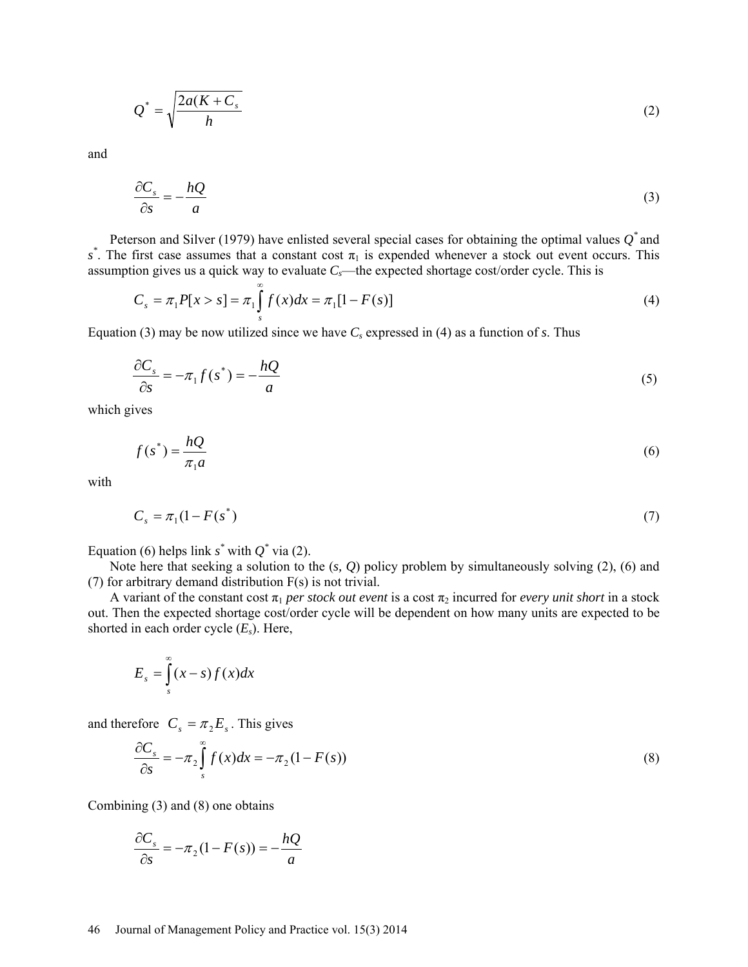$$
Q^* = \sqrt{\frac{2a(K + C_s)}{h}}
$$
 (2)

and

$$
\frac{\partial C_s}{\partial s} = -\frac{hQ}{a} \tag{3}
$$

Peterson and Silver (1979) have enlisted several special cases for obtaining the optimal values *Q\** and  $s^*$ . The first case assumes that a constant cost  $\pi_1$  is expended whenever a stock out event occurs. This assumption gives us a quick way to evaluate  $C_s$ —the expected shortage cost/order cycle. This is

$$
C_s = \pi_1 P[x > s] = \pi_1 \int_s^{\infty} f(x) dx = \pi_1 [1 - F(s)] \tag{4}
$$

Equation (3) may be now utilized since we have  $C_s$  expressed in (4) as a function of *s*. Thus

$$
\frac{\partial C_s}{\partial s} = -\pi_1 f(s^*) = -\frac{hQ}{a} \tag{5}
$$

which gives

$$
f(s^*) = \frac{hQ}{\pi_1 a} \tag{6}
$$

with

$$
C_s = \pi_1 (1 - F(s^*) \tag{7}
$$

Equation (6) helps link  $s^*$  with  $Q^*$  via (2).

Note here that seeking a solution to the (*s, Q*) policy problem by simultaneously solving (2), (6) and (7) for arbitrary demand distribution F(s) is not trivial.

A variant of the constant cost  $\pi_1$  *per stock out event* is a cost  $\pi_2$  incurred for *every unit short* in a stock out. Then the expected shortage cost/order cycle will be dependent on how many units are expected to be shorted in each order cycle (*Es*). Here,

$$
E_s = \int_s^\infty (x - s) f(x) dx
$$

and therefore  $C_s = \pi_2 E_s$ . This gives

$$
\frac{\partial C_s}{\partial s} = -\pi_2 \int_s^\infty f(x) dx = -\pi_2 (1 - F(s))
$$
\n(8)

Combining (3) and (8) one obtains

$$
\frac{\partial C_s}{\partial s} = -\pi_2 (1 - F(s)) = -\frac{hQ}{a}
$$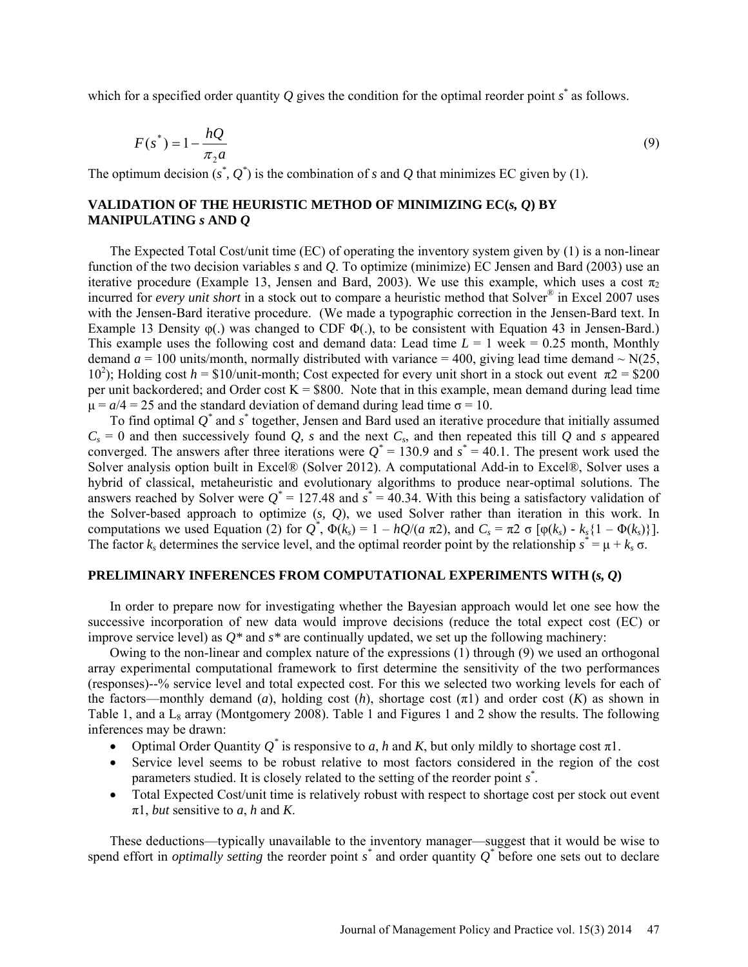which for a specified order quantity  $Q$  gives the condition for the optimal reorder point  $s^*$  as follows.

$$
F(s^*) = 1 - \frac{hQ}{\pi_2 a} \tag{9}
$$

The optimum decision  $(s^*, Q^*)$  is the combination of *s* and *Q* that minimizes EC given by (1).

## **VALIDATION OF THE HEURISTIC METHOD OF MINIMIZING EC(***s, Q***) BY MANIPULATING** *s* **AND** *Q*

The Expected Total Cost/unit time (EC) of operating the inventory system given by (1) is a non-linear function of the two decision variables *s* and *Q*. To optimize (minimize) EC Jensen and Bard (2003) use an iterative procedure (Example 13, Jensen and Bard, 2003). We use this example, which uses a cost  $\pi_2$ incurred for *every unit short* in a stock out to compare a heuristic method that Solver® in Excel 2007 uses with the Jensen-Bard iterative procedure. (We made a typographic correction in the Jensen-Bard text. In Example 13 Density  $\varphi$ (.) was changed to CDF  $\Phi$ (.), to be consistent with Equation 43 in Jensen-Bard.) This example uses the following cost and demand data: Lead time  $L = 1$  week = 0.25 month, Monthly demand  $a = 100$  units/month, normally distributed with variance = 400, giving lead time demand  $\sim N(25)$ , 10<sup>2</sup>); Holding cost *h* = \$10/unit-month; Cost expected for every unit short in a stock out event  $π2 = $200$ per unit backordered; and Order cost  $K = $800$ . Note that in this example, mean demand during lead time  $\mu = a/4 = 25$  and the standard deviation of demand during lead time  $\sigma = 10$ .

To find optimal *Q\** and *s \** together, Jensen and Bard used an iterative procedure that initially assumed  $C_s = 0$  and then successively found *Q*, *s* and the next  $C_s$ , and then repeated this till *Q* and *s* appeared converged. The answers after three iterations were  $Q^* = 130.9$  and  $s^* = 40.1$ . The present work used the Solver analysis option built in Excel® (Solver 2012). A computational Add-in to Excel®, Solver uses a hybrid of classical, metaheuristic and evolutionary algorithms to produce near-optimal solutions. The answers reached by Solver were  $Q^* = 127.48$  and  $s^* = 40.34$ . With this being a satisfactory validation of the Solver-based approach to optimize (*s, Q*), we used Solver rather than iteration in this work. In computations we used Equation (2) for  $Q^*$ ,  $\Phi(k_s) = 1 - hQ/(a \pi^2)$ , and  $C_s = \pi^2 \sigma [\phi(k_s) - k_s(1 - \Phi(k_s))]$ . The factor  $k_s$  determines the service level, and the optimal reorder point by the relationship  $s^* = \mu + k_s \sigma$ .

### **PRELIMINARY INFERENCES FROM COMPUTATIONAL EXPERIMENTS WITH (***s, Q***)**

In order to prepare now for investigating whether the Bayesian approach would let one see how the successive incorporation of new data would improve decisions (reduce the total expect cost (EC) or improve service level) as  $Q^*$  and  $s^*$  are continually updated, we set up the following machinery:

Owing to the non-linear and complex nature of the expressions (1) through (9) we used an orthogonal array experimental computational framework to first determine the sensitivity of the two performances (responses)--% service level and total expected cost. For this we selected two working levels for each of the factors—monthly demand (*a*), holding cost (*h*), shortage cost  $(\pi 1)$  and order cost (*K*) as shown in Table 1, and a  $L_8$  array (Montgomery 2008). Table 1 and Figures 1 and 2 show the results. The following inferences may be drawn:

- Optimal Order Quantity  $Q^*$  is responsive to *a*, *h* and *K*, but only mildly to shortage cost  $\pi$ 1.
- Service level seems to be robust relative to most factors considered in the region of the cost parameters studied. It is closely related to the setting of the reorder point *s \** .
- Total Expected Cost/unit time is relatively robust with respect to shortage cost per stock out event π1, *but* sensitive to *a*, *h* and *K*.

These deductions—typically unavailable to the inventory manager—suggest that it would be wise to spend effort in *optimally setting* the reorder point  $s^*$  and order quantity  $Q^*$  before one sets out to declare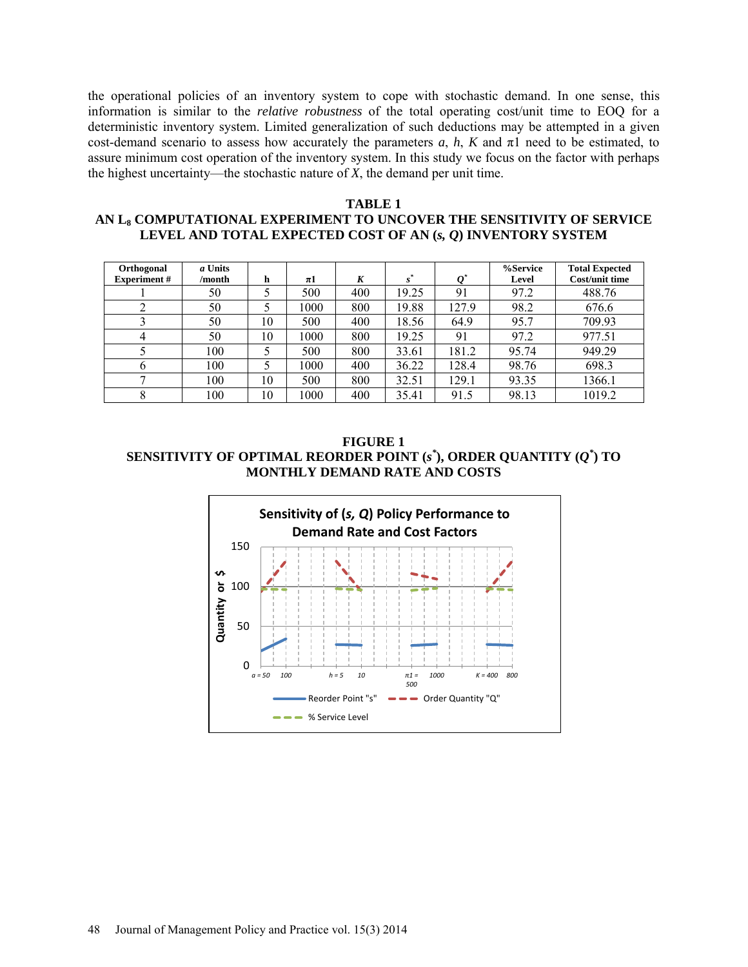the operational policies of an inventory system to cope with stochastic demand. In one sense, this information is similar to the *relative robustness* of the total operating cost/unit time to EOQ for a deterministic inventory system. Limited generalization of such deductions may be attempted in a given cost-demand scenario to assess how accurately the parameters  $a, h, K$  and  $\pi$ 1 need to be estimated, to assure minimum cost operation of the inventory system. In this study we focus on the factor with perhaps the highest uncertainty—the stochastic nature of *X*, the demand per unit time.

### **TABLE 1**

## **AN L8 COMPUTATIONAL EXPERIMENT TO UNCOVER THE SENSITIVITY OF SERVICE LEVEL AND TOTAL EXPECTED COST OF AN (***s, Q***) INVENTORY SYSTEM**

| Orthogonal         | a Units |    |         |     |       |       | %Service | <b>Total Expected</b> |
|--------------------|---------|----|---------|-----|-------|-------|----------|-----------------------|
| <b>Experiment#</b> | /month  | h  | $\pi$ 1 | K   | $s^*$ |       | Level    | Cost/unit time        |
|                    | 50      | 5  | 500     | 400 | 19.25 | 91    | 97.2     | 488.76                |
|                    | 50      |    | 1000    | 800 | 19.88 | 127.9 | 98.2     | 676.6                 |
|                    | 50      | 10 | 500     | 400 | 18.56 | 64.9  | 95.7     | 709.93                |
| 4                  | 50      | 10 | 1000    | 800 | 19.25 | 91    | 97.2     | 977.51                |
|                    | 100     |    | 500     | 800 | 33.61 | 181.2 | 95.74    | 949.29                |
| 6                  | 100     |    | 1000    | 400 | 36.22 | 128.4 | 98.76    | 698.3                 |
|                    | 100     | 10 | 500     | 800 | 32.51 | 129.1 | 93.35    | 1366.1                |
|                    | 00      | 10 | 1000    | 400 | 35.41 | 91.5  | 98.13    | 1019.2                |

**FIGURE 1 SENSITIVITY OF OPTIMAL REORDER POINT (***s \** **), ORDER QUANTITY (***Q\** **) TO MONTHLY DEMAND RATE AND COSTS**

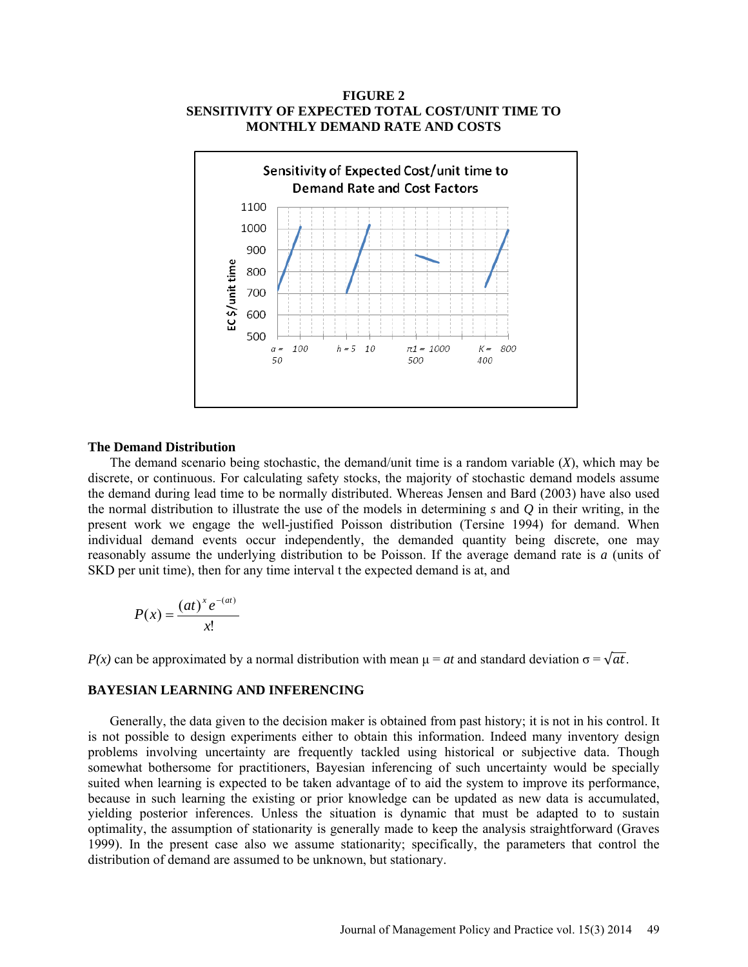### **FIGURE 2 SENSITIVITY OF EXPECTED TOTAL COST/UNIT TIME TO MONTHLY DEMAND RATE AND COSTS**



#### **The Demand Distribution**

The demand scenario being stochastic, the demand/unit time is a random variable (*X*), which may be discrete, or continuous. For calculating safety stocks, the majority of stochastic demand models assume the demand during lead time to be normally distributed. Whereas Jensen and Bard (2003) have also used the normal distribution to illustrate the use of the models in determining *s* and *Q* in their writing, in the present work we engage the well-justified Poisson distribution (Tersine 1994) for demand. When individual demand events occur independently, the demanded quantity being discrete, one may reasonably assume the underlying distribution to be Poisson. If the average demand rate is *a* (units of SKD per unit time), then for any time interval t the expected demand is at, and

$$
P(x) = \frac{(at)^x e^{-(at)}}{x!}
$$

*P(x)* can be approximated by a normal distribution with mean  $\mu = at$  and standard deviation  $\sigma = \sqrt{at}$ .

#### **BAYESIAN LEARNING AND INFERENCING**

Generally, the data given to the decision maker is obtained from past history; it is not in his control. It is not possible to design experiments either to obtain this information. Indeed many inventory design problems involving uncertainty are frequently tackled using historical or subjective data. Though somewhat bothersome for practitioners, Bayesian inferencing of such uncertainty would be specially suited when learning is expected to be taken advantage of to aid the system to improve its performance, because in such learning the existing or prior knowledge can be updated as new data is accumulated, yielding posterior inferences. Unless the situation is dynamic that must be adapted to to sustain optimality, the assumption of stationarity is generally made to keep the analysis straightforward (Graves 1999). In the present case also we assume stationarity; specifically, the parameters that control the distribution of demand are assumed to be unknown, but stationary.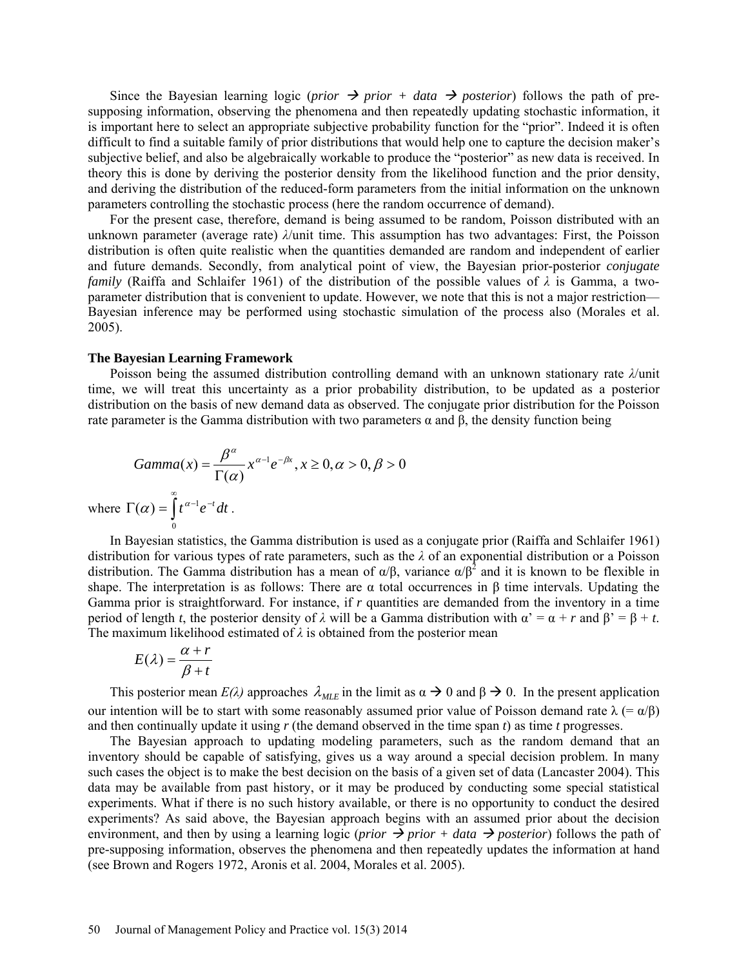Since the Bayesian learning logic (*prior*  $\rightarrow$  *prior* + *data*  $\rightarrow$  *posterior*) follows the path of presupposing information, observing the phenomena and then repeatedly updating stochastic information, it is important here to select an appropriate subjective probability function for the "prior". Indeed it is often difficult to find a suitable family of prior distributions that would help one to capture the decision maker's subjective belief, and also be algebraically workable to produce the "posterior" as new data is received. In theory this is done by deriving the posterior density from the likelihood function and the prior density, and deriving the distribution of the reduced-form parameters from the initial information on the unknown parameters controlling the stochastic process (here the random occurrence of demand).

For the present case, therefore, demand is being assumed to be random, Poisson distributed with an unknown parameter (average rate) *λ*/unit time. This assumption has two advantages: First, the Poisson distribution is often quite realistic when the quantities demanded are random and independent of earlier and future demands. Secondly, from analytical point of view, the Bayesian prior-posterior *conjugate family* (Raiffa and Schlaifer 1961) of the distribution of the possible values of *λ* is Gamma, a twoparameter distribution that is convenient to update. However, we note that this is not a major restriction— Bayesian inference may be performed using stochastic simulation of the process also (Morales et al. 2005).

#### **The Bayesian Learning Framework**

Poisson being the assumed distribution controlling demand with an unknown stationary rate *λ*/unit time, we will treat this uncertainty as a prior probability distribution, to be updated as a posterior distribution on the basis of new demand data as observed. The conjugate prior distribution for the Poisson rate parameter is the Gamma distribution with two parameters  $\alpha$  and  $\beta$ , the density function being

$$
Gamma(x) = \frac{\beta^{\alpha}}{\Gamma(\alpha)} x^{\alpha - 1} e^{-\beta x}, x \ge 0, \alpha > 0, \beta > 0
$$
  
where  $\Gamma(\alpha) = \int_0^{\infty} t^{\alpha - 1} e^{-t} dt$ .

In Bayesian statistics, the Gamma distribution is used as a conjugate prior (Raiffa and Schlaifer 1961) distribution for various types of rate parameters, such as the *λ* of an exponential distribution or a Poisson distribution. The Gamma distribution has a mean of  $\alpha/\beta$ , variance  $\alpha/\beta^2$  and it is known to be flexible in shape. The interpretation is as follows: There are  $\alpha$  total occurrences in β time intervals. Updating the Gamma prior is straightforward. For instance, if *r* quantities are demanded from the inventory in a time period of length *t*, the posterior density of  $\lambda$  will be a Gamma distribution with  $\alpha' = \alpha + r$  and  $\beta' = \beta + t$ . The maximum likelihood estimated of  $\lambda$  is obtained from the posterior mean

$$
E(\lambda) = \frac{\alpha + r}{\beta + t}
$$

 $\overline{0}$ 

This posterior mean  $E(\lambda)$  approaches  $\lambda_{MLE}$  in the limit as  $\alpha \to 0$  and  $\beta \to 0$ . In the present application our intention will be to start with some reasonably assumed prior value of Poisson demand rate  $\lambda$  (=  $\alpha$ /β) and then continually update it using *r* (the demand observed in the time span *t*) as time *t* progresses.

The Bayesian approach to updating modeling parameters, such as the random demand that an inventory should be capable of satisfying, gives us a way around a special decision problem. In many such cases the object is to make the best decision on the basis of a given set of data (Lancaster 2004). This data may be available from past history, or it may be produced by conducting some special statistical experiments. What if there is no such history available, or there is no opportunity to conduct the desired experiments? As said above, the Bayesian approach begins with an assumed prior about the decision environment, and then by using a learning logic (*prior*  $\rightarrow$  *prior* + *data*  $\rightarrow$  *posterior*) follows the path of pre-supposing information, observes the phenomena and then repeatedly updates the information at hand (see Brown and Rogers 1972, Aronis et al. 2004, Morales et al. 2005).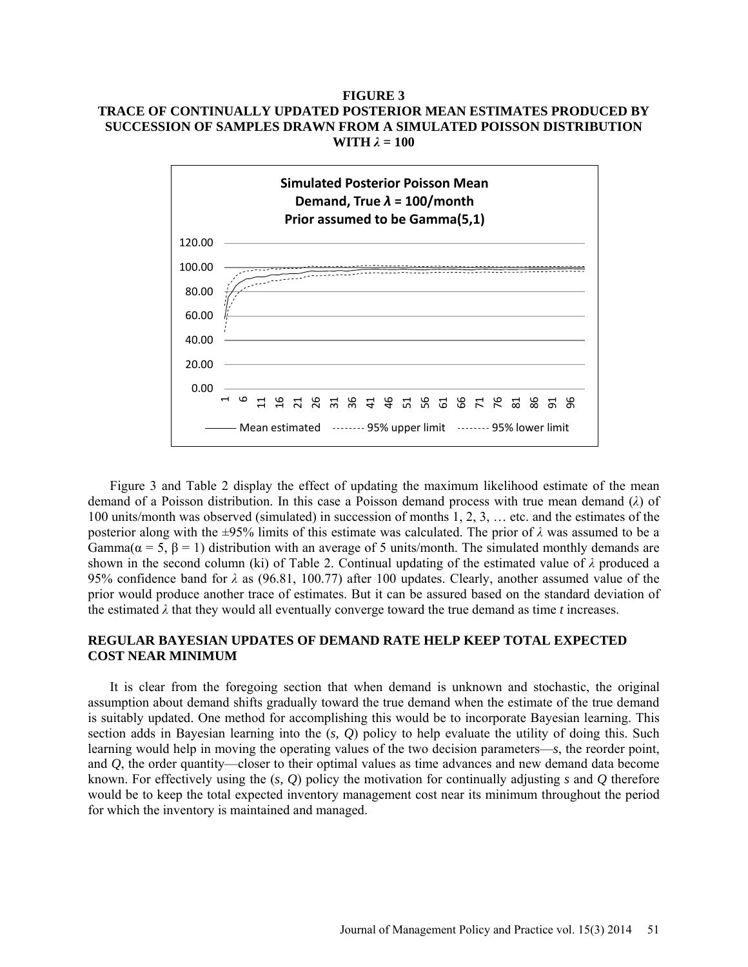## **FIGURE 3 TRACE OF CONTINUALLY UPDATED POSTERIOR MEAN ESTIMATES PRODUCED BY SUCCESSION OF SAMPLES DRAWN FROM A SIMULATED POISSON DISTRIBUTION WITH** *λ* **= 100**



Figure 3 and Table 2 display the effect of updating the maximum likelihood estimate of the mean demand of a Poisson distribution. In this case a Poisson demand process with true mean demand (*λ*) of 100 units/month was observed (simulated) in succession of months 1, 2, 3, … etc. and the estimates of the posterior along with the ±95% limits of this estimate was calculated. The prior of *λ* was assumed to be a Gamma( $\alpha = 5$ ,  $\beta = 1$ ) distribution with an average of 5 units/month. The simulated monthly demands are shown in the second column (ki) of Table 2. Continual updating of the estimated value of *λ* produced a 95% confidence band for *λ* as (96.81, 100.77) after 100 updates. Clearly, another assumed value of the prior would produce another trace of estimates. But it can be assured based on the standard deviation of the estimated *λ* that they would all eventually converge toward the true demand as time *t* increases.

## **REGULAR BAYESIAN UPDATES OF DEMAND RATE HELP KEEP TOTAL EXPECTED COST NEAR MINIMUM**

It is clear from the foregoing section that when demand is unknown and stochastic, the original assumption about demand shifts gradually toward the true demand when the estimate of the true demand is suitably updated. One method for accomplishing this would be to incorporate Bayesian learning. This section adds in Bayesian learning into the (*s, Q*) policy to help evaluate the utility of doing this. Such learning would help in moving the operating values of the two decision parameters—*s*, the reorder point, and *Q*, the order quantity—closer to their optimal values as time advances and new demand data become known. For effectively using the (*s, Q*) policy the motivation for continually adjusting *s* and *Q* therefore would be to keep the total expected inventory management cost near its minimum throughout the period for which the inventory is maintained and managed.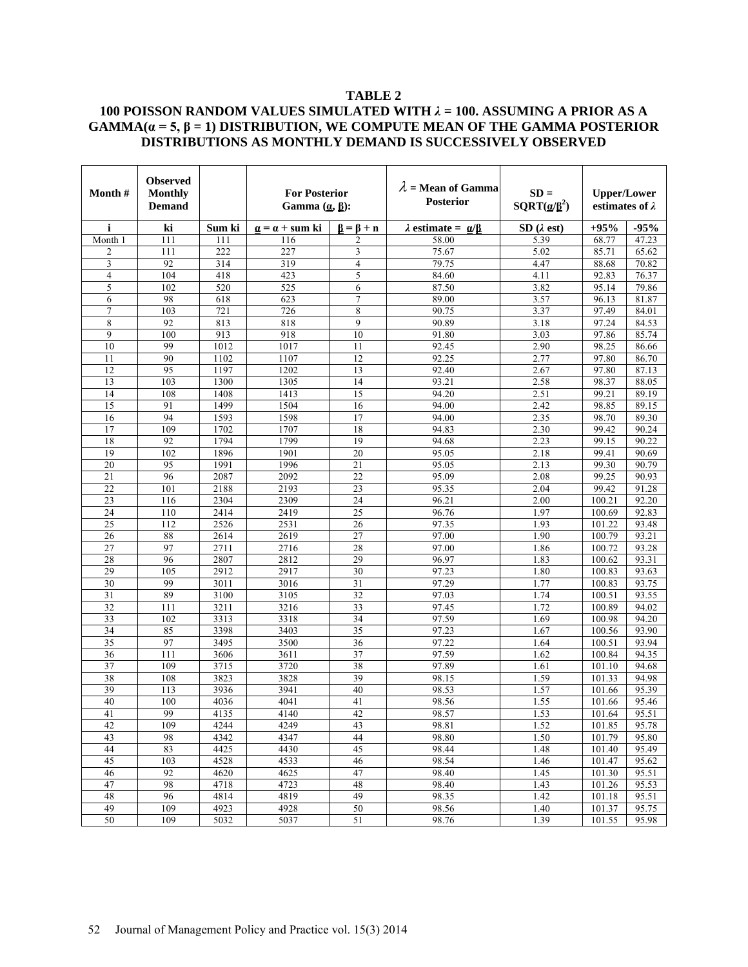### **TABLE 2**

## **100 POISSON RANDOM VALUES SIMULATED WITH** *λ* **= 100. ASSUMING A PRIOR AS A**  GAMMA $(a = 5, \beta = 1)$  DISTRIBUTION, WE COMPUTE MEAN OF THE GAMMA POSTERIOR **DISTRIBUTIONS AS MONTHLY DEMAND IS SUCCESSIVELY OBSERVED**

| Month#                | <b>Observed</b><br><b>Monthly</b><br><b>Demand</b> |              | <b>For Posterior</b><br>Gamma $(\underline{a}, \underline{\beta})$ : |                     | $\lambda$ = Mean of Gamma<br><b>Posterior</b>               | $SD =$<br>SQRT( $\underline{\alpha}/\underline{\beta}^2$ ) | <b>Upper/Lower</b><br>estimates of $\lambda$ |                    |
|-----------------------|----------------------------------------------------|--------------|----------------------------------------------------------------------|---------------------|-------------------------------------------------------------|------------------------------------------------------------|----------------------------------------------|--------------------|
| i                     | ki                                                 | Sum ki       | $\underline{\alpha} = \alpha + \text{sum ki}$                        | $\beta = \beta + n$ | $\lambda$ estimate = $\underline{\alpha}/\underline{\beta}$ | SD(2est)                                                   | $+95%$                                       | $-95%$             |
| Month 1               | 111                                                | 111          | 116                                                                  | 2                   | 58.00                                                       | 5.39                                                       | 68.77                                        | 47.23              |
| $\overline{2}$        | 111                                                | 222          | 227                                                                  | 3                   | 75.67                                                       | 5.02                                                       | 85.71                                        | 65.62              |
| 3                     | 92                                                 | 314          | 319                                                                  | 4                   | 79.75                                                       | 4.47                                                       | 88.68                                        | 70.82              |
| $\overline{4}$        | 104                                                | 418          | 423                                                                  | 5                   | 84.60                                                       | 4.11                                                       | 92.83                                        | 76.37              |
| 5                     | 102                                                | 520          | 525                                                                  | 6                   | 87.50                                                       | 3.82                                                       | 95.14                                        | 79.86              |
| 6                     | 98                                                 | 618          | 623                                                                  | 7                   | 89.00                                                       | 3.57                                                       | 96.13                                        | 81.87              |
| 7                     | 103                                                | 721          | 726                                                                  | 8                   | 90.75                                                       | 3.37                                                       | 97.49                                        | 84.01              |
| 8                     | 92                                                 | 813          | 818                                                                  | 9                   | 90.89                                                       | 3.18                                                       | 97.24                                        | 84.53              |
| 9                     | 100                                                | 913          | 918                                                                  | 10                  | 91.80                                                       | 3.03                                                       | 97.86                                        | 85.74              |
| 10                    | 99                                                 | 1012         | 1017                                                                 | 11                  | 92.45                                                       | 2.90                                                       | 98.25                                        | 86.66              |
| 11                    | 90                                                 | 1102         | 1107                                                                 | 12                  | 92.25                                                       | 2.77                                                       | 97.80                                        | 86.70              |
| 12                    | 95                                                 | 1197         | 1202                                                                 | 13                  | 92.40                                                       | 2.67                                                       | 97.80                                        | 87.13              |
| 13                    | 103                                                | 1300         | 1305                                                                 | 14                  | 93.21                                                       | 2.58                                                       | 98.37                                        | 88.05              |
| 14                    | 108                                                | 1408         | 1413                                                                 | 15                  | 94.20                                                       | 2.51                                                       | 99.21                                        | 89.19              |
| 15                    | 91                                                 | 1499         | 1504                                                                 | 16                  | 94.00                                                       | 2.42                                                       | 98.85                                        | 89.15              |
| 16                    | 94                                                 | 1593         | 1598                                                                 | 17                  | 94.00                                                       | 2.35                                                       | 98.70                                        | 89.30              |
| 17                    | 109                                                | 1702         | 1707                                                                 | 18                  | 94.83                                                       | 2.30                                                       | 99.42                                        | $\overline{90.24}$ |
| 18<br>19              | 92                                                 | 1794         | 1799<br>1901                                                         | 19<br>20            | 94.68                                                       | 2.23                                                       | 99.15                                        | 90.22<br>90.69     |
| 20                    | 102<br>95                                          | 1896<br>1991 | 1996                                                                 | 21                  | 95.05                                                       | 2.18                                                       | 99.41<br>99.30                               | 90.79              |
|                       | 96                                                 | 2087         | 2092                                                                 | 22                  | 95.05                                                       | 2.13                                                       | 99.25                                        | 90.93              |
| 21<br>22              | 101                                                | 2188         | 2193                                                                 | 23                  | 95.09                                                       | 2.08<br>2.04                                               | 99.42                                        | 91.28              |
| $\overline{23}$       | 116                                                | 2304         | 2309                                                                 | $\overline{24}$     | 95.35<br>96.21                                              | 2.00                                                       | 100.21                                       | 92.20              |
|                       | 110                                                | 2414         |                                                                      |                     |                                                             | 1.97                                                       | 100.69                                       | 92.83              |
| 24<br>$\overline{25}$ | 112                                                | 2526         | 2419<br>2531                                                         | 25<br>26            | 96.76<br>97.35                                              | 1.93                                                       | 101.22                                       | 93.48              |
| 26                    | 88                                                 | 2614         | 2619                                                                 | 27                  | 97.00                                                       | 1.90                                                       | 100.79                                       | 93.21              |
| 27                    | 97                                                 | 2711         | 2716                                                                 | 28                  | 97.00                                                       | 1.86                                                       | 100.72                                       | 93.28              |
| 28                    | 96                                                 | 2807         | 2812                                                                 | 29                  | 96.97                                                       | 1.83                                                       | 100.62                                       | 93.31              |
| 29                    | 105                                                | 2912         | 2917                                                                 | 30                  | 97.23                                                       | 1.80                                                       | 100.83                                       | 93.63              |
| 30                    | 99                                                 | 3011         | 3016                                                                 | 31                  | 97.29                                                       | 1.77                                                       | 100.83                                       | 93.75              |
| 31                    | 89                                                 | 3100         | 3105                                                                 | 32                  | 97.03                                                       | 1.74                                                       | 100.51                                       | 93.55              |
| 32                    | 111                                                | 3211         | 3216                                                                 | 33                  | 97.45                                                       | 1.72                                                       | 100.89                                       | 94.02              |
| 33                    | 102                                                | 3313         | 3318                                                                 | 34                  | 97.59                                                       | 1.69                                                       | 100.98                                       | 94.20              |
| 34                    | 85                                                 | 3398         | 3403                                                                 | 35                  | 97.23                                                       | 1.67                                                       | 100.56                                       | 93.90              |
| 35                    | 97                                                 | 3495         | 3500                                                                 | 36                  | 97.22                                                       | 1.64                                                       | 100.51                                       | 93.94              |
| 36                    | 111                                                | 3606         | 3611                                                                 | $\overline{37}$     | 97.59                                                       | 1.62                                                       | 100.84                                       | 94.35              |
| 37                    | 109                                                | 3715         | 3720                                                                 | 38                  | 97.89                                                       | 1.61                                                       | 101.10                                       | 94.68              |
| 38                    | 108                                                | 3823         | 3828                                                                 | 39                  | 98.15                                                       | 1.59                                                       | 101.33                                       | 94.98              |
| 39                    | 113                                                | 3936         | 3941                                                                 | 40                  | 98.53                                                       | 1.57                                                       | 101.66                                       | 95.39              |
| 40                    | 100                                                | 4036         | 4041                                                                 | 41                  | 98.56                                                       | 1.55                                                       | 101.66                                       | 95.46              |
| 41                    | 99                                                 | 4135         | 4140                                                                 | $\overline{42}$     | 98.57                                                       | 1.53                                                       | 101.64                                       | 95.51              |
| 42                    | 109                                                | 4244         | 4249                                                                 | 43                  | 98.81                                                       | 1.52                                                       | 101.85                                       | 95.78              |
| 43                    | 98                                                 | 4342         | 4347                                                                 | 44                  | 98.80                                                       | 1.50                                                       | 101.79                                       | 95.80              |
| 44                    | 83                                                 | 4425         | 4430                                                                 | 45                  | 98.44                                                       | 1.48                                                       | 101.40                                       | 95.49              |
| 45                    | 103                                                | 4528         | 4533                                                                 | 46                  | 98.54                                                       | 1.46                                                       | 101.47                                       | 95.62              |
| 46                    | 92                                                 | 4620         | 4625                                                                 | 47                  | 98.40                                                       | 1.45                                                       | 101.30                                       | 95.51              |
| 47                    | 98                                                 | 4718         | 4723                                                                 | 48                  | 98.40                                                       | 1.43                                                       | 101.26                                       | 95.53              |
| $48\,$                | 96                                                 | 4814         | 4819                                                                 | 49                  | 98.35                                                       | 1.42                                                       | 101.18                                       | 95.51              |
| 49                    | 109                                                | 4923         | 4928                                                                 | 50                  | 98.56                                                       | 1.40                                                       | 101.37                                       | 95.75              |
| 50                    | 109                                                | 5032         | 5037                                                                 | 51                  | 98.76                                                       | 1.39                                                       | 101.55                                       | 95.98              |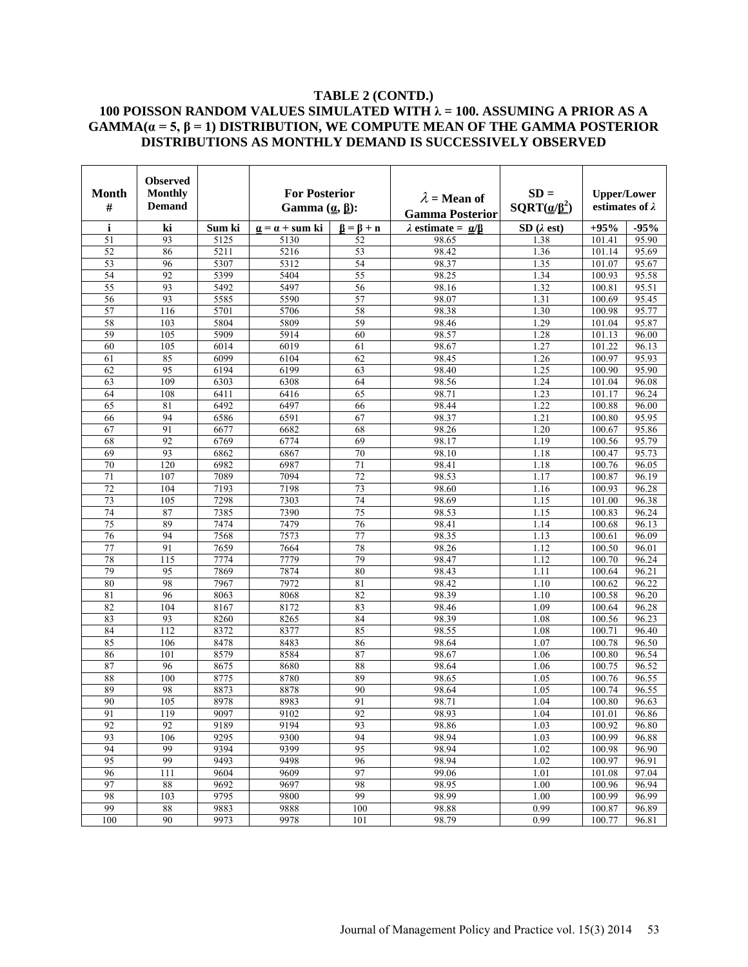## **TABLE 2 (CONTD.) 100 POISSON RANDOM VALUES SIMULATED WITH λ = 100. ASSUMING A PRIOR AS A**  GAMMA $(a = 5, \beta = 1)$  DISTRIBUTION, WE COMPUTE MEAN OF THE GAMMA POSTERIOR **DISTRIBUTIONS AS MONTHLY DEMAND IS SUCCESSIVELY OBSERVED**

| Month           | <b>Observed</b><br>Monthly |              | <b>For Posterior</b><br>Gamma $(\underline{\alpha}, \underline{\beta})$ : |                                        | $\lambda$ = Mean of              | $SD =$                        | <b>Upper/Lower</b>     |                       |
|-----------------|----------------------------|--------------|---------------------------------------------------------------------------|----------------------------------------|----------------------------------|-------------------------------|------------------------|-----------------------|
| #               | <b>Demand</b>              |              |                                                                           |                                        | <b>Gamma Posterior</b>           | $\text{SQRT}(\alpha/\beta^2)$ | estimates of $\lambda$ |                       |
| i               | ki                         | Sum ki       | $\mathbf{a} = \mathbf{a} + \mathbf{sum}$ ki                               | $\mathbf{B} = \mathbf{B} + \mathbf{n}$ | $\lambda$ estimate = $\alpha$ /B | SD(2est)                      | $+95%$                 | $-95%$                |
| 51              | 93                         | 5125         | 5130                                                                      | 52                                     | 98.65                            | 1.38                          | 101.41                 | 95.90                 |
| 52              | 86                         | 5211         | 5216                                                                      | 53                                     | 98.42                            | 1.36                          | 101.14                 | 95.69                 |
| 53              | 96                         | 5307         | 5312                                                                      | 54                                     | 98.37                            | 1.35                          | 101.07                 | 95.67                 |
| 54              | 92                         | 5399         | 5404                                                                      | 55                                     | 98.25                            | 1.34                          | 100.93                 | 95.58                 |
| 55              | 93                         | 5492         | 5497                                                                      | 56                                     | 98.16                            | 1.32                          | 100.81                 | 95.51                 |
| 56              | 93                         | 5585         | 5590                                                                      | 57                                     | 98.07                            | 1.31                          | 100.69                 | 95.45                 |
| 57              | 116                        | 5701         | 5706                                                                      | 58                                     | 98.38                            | 1.30                          | 100.98                 | 95.77                 |
| 58              | 103                        | 5804         | 5809                                                                      | 59                                     | 98.46                            | 1.29                          | 101.04                 | 95.87                 |
| 59              | 105                        | 5909         | 5914                                                                      | 60                                     | 98.57                            | 1.28                          | 101.13                 | 96.00                 |
| 60              | 105                        | 6014         | 6019                                                                      | 61                                     | 98.67                            | 1.27                          | 101.22                 | 96.13                 |
| 61              | 85                         | 6099         | 6104                                                                      | 62                                     | 98.45                            | 1.26                          | 100.97                 | 95.93                 |
| 62              | 95                         | 6194         | 6199                                                                      | 63                                     | 98.40                            | 1.25                          | 100.90                 | 95.90                 |
| 63              | 109                        | 6303         | 6308                                                                      | 64                                     | 98.56                            | 1.24                          | 101.04                 | 96.08                 |
| 64              | 108                        | 6411         | 6416                                                                      | 65                                     | 98.71                            | 1.23                          | 101.17                 | 96.24                 |
| 65              | 81                         | 6492         | 6497                                                                      | 66                                     | 98.44                            | 1.22                          | 100.88                 | 96.00                 |
| 66              | 94                         | 6586         | 6591                                                                      | 67                                     | 98.37                            | 1.21                          | 100.80                 | $\frac{95.95}{95.95}$ |
| 67              | 91                         | 6677         | 6682                                                                      | 68                                     | 98.26                            | 1.20                          | 100.67                 | 95.86                 |
| 68              | 92                         | 6769         | 6774                                                                      | 69                                     | 98.17                            | 1.19                          | 100.56                 | 95.79                 |
| 69              | 93                         | 6862         | 6867                                                                      | 70                                     | 98.10                            | 1.18                          | 100.47                 | 95.73                 |
| 70              | 120                        | 6982         | 6987                                                                      | $\overline{71}$                        | 98.41                            | 1.18                          | 100.76                 | 96.05                 |
| 71              | 107                        | 7089         | 7094                                                                      | 72                                     | 98.53                            | 1.17                          | 100.87                 | 96.19                 |
| 72              | 104                        | 7193         | 7198                                                                      | 73                                     | 98.60                            | 1.16                          | 100.93                 | 96.28                 |
| 73              | 105                        | 7298         | 7303                                                                      | 74                                     | 98.69                            | 1.15                          | 101.00                 | 96.38                 |
| 74              | 87                         | 7385         | 7390                                                                      | 75                                     | 98.53                            | 1.15                          | 100.83                 | 96.24                 |
| $\overline{75}$ | 89<br>94                   | 7474         | 7479                                                                      | 76                                     | 98.41                            | 1.14                          | 100.68                 | 96.13                 |
| 76<br>77        | 91                         | 7568         | 7573<br>7664                                                              | 77<br>78                               | 98.35<br>98.26                   | 1.13<br>1.12                  | 100.61<br>100.50       | 96.09                 |
| 78              | 115                        | 7659<br>7774 | 7779                                                                      | 79                                     | 98.47                            |                               | 100.70                 | 96.01<br>96.24        |
| 79              | 95                         | 7869         | 7874                                                                      | 80                                     | 98.43                            | 1.12<br>1.11                  | 100.64                 | 96.21                 |
| 80              | 98                         | 7967         | 7972                                                                      | 81                                     | 98.42                            | 1.10                          | 100.62                 | 96.22                 |
| 81              | 96                         | 8063         | 8068                                                                      | 82                                     | 98.39                            | 1.10                          | 100.58                 | 96.20                 |
| 82              | 104                        | 8167         | 8172                                                                      | 83                                     | 98.46                            | 1.09                          | 100.64                 | 96.28                 |
| 83              | 93                         | 8260         | 8265                                                                      | 84                                     | 98.39                            | 1.08                          | 100.56                 | 96.23                 |
| 84              | 112                        | 8372         | 8377                                                                      | 85                                     | 98.55                            | 1.08                          | 100.71                 | 96.40                 |
| 85              | 106                        | 8478         | 8483                                                                      | 86                                     | 98.64                            | 1.07                          | 100.78                 | 96.50                 |
| 86              | 101                        | 8579         | 8584                                                                      | 87                                     | 98.67                            | 1.06                          | 100.80                 | 96.54                 |
| 87              | 96                         | 8675         | 8680                                                                      | 88                                     | 98.64                            | 1.06                          | 100.75                 | 96.52                 |
| 88              | 100                        | 8775         | 8780                                                                      | 89                                     | 98.65                            | 1.05                          | 100.76                 | 96.55                 |
| 89              | 98                         | 8873         | 8878                                                                      | 90                                     | 98.64                            | 1.05                          | 100.74                 | 96.55                 |
| 90              | 105                        | 8978         | 8983                                                                      | 91                                     | 98.71                            | 1.04                          | 100.80                 | $\overline{96.63}$    |
| 91              | 119                        | 9097         | 9102                                                                      | 92                                     | 98.93                            | 1.04                          | 101.01                 | 96.86                 |
| 92              | 92                         | 9189         | 9194                                                                      | 93                                     | 98.86                            | 1.03                          | 100.92                 | 96.80                 |
| 93              | 106                        | 9295         | 9300                                                                      | 94                                     | 98.94                            | 1.03                          | 100.99                 | 96.88                 |
| 94              | 99                         | 9394         | 9399                                                                      | 95                                     | 98.94                            | 1.02                          | 100.98                 | 96.90                 |
| 95              | 99                         | 9493         | 9498                                                                      | 96                                     | 98.94                            | 1.02                          | 100.97                 | 96.91                 |
| 96              | 111                        | 9604         | 9609                                                                      | 97                                     | 99.06                            | 1.01                          | 101.08                 | 97.04                 |
| 97              | 88                         | 9692         | 9697                                                                      | 98                                     | 98.95                            | 1.00                          | 100.96                 | 96.94                 |
| 98              | 103                        | 9795         | 9800                                                                      | 99                                     | 98.99                            | 1.00                          | 100.99                 | 96.99                 |
| 99              | 88                         | 9883         | 9888                                                                      | 100                                    | 98.88                            | 0.99                          | 100.87                 | 96.89                 |
| 100             | 90                         | 9973         | 9978                                                                      | 101                                    | 98.79                            | 0.99                          | 100.77                 | 96.81                 |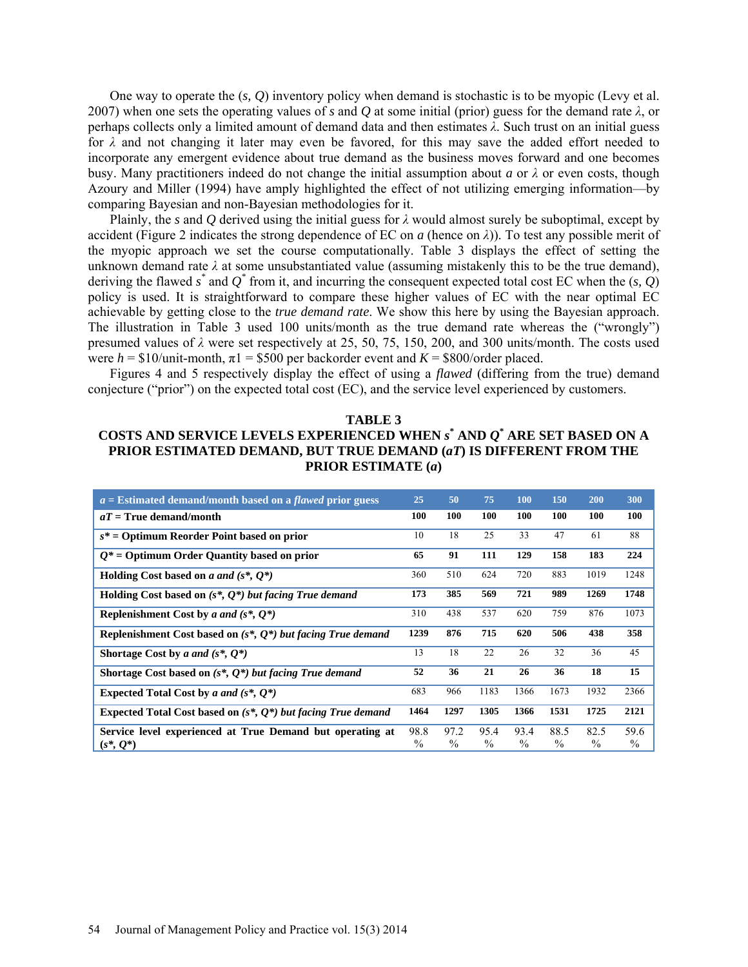One way to operate the (*s, Q*) inventory policy when demand is stochastic is to be myopic (Levy et al. 2007) when one sets the operating values of *s* and *Q* at some initial (prior) guess for the demand rate *λ*, or perhaps collects only a limited amount of demand data and then estimates *λ*. Such trust on an initial guess for  $\lambda$  and not changing it later may even be favored, for this may save the added effort needed to incorporate any emergent evidence about true demand as the business moves forward and one becomes busy. Many practitioners indeed do not change the initial assumption about *a* or  $\lambda$  or even costs, though Azoury and Miller (1994) have amply highlighted the effect of not utilizing emerging information—by comparing Bayesian and non-Bayesian methodologies for it.

Plainly, the *s* and *Q* derived using the initial guess for  $\lambda$  would almost surely be suboptimal, except by accident (Figure 2 indicates the strong dependence of EC on *a* (hence on *λ*)). To test any possible merit of the myopic approach we set the course computationally. Table 3 displays the effect of setting the unknown demand rate  $\lambda$  at some unsubstantiated value (assuming mistakenly this to be the true demand), deriving the flawed *s \** and *Q\** from it, and incurring the consequent expected total cost EC when the (*s, Q*) policy is used. It is straightforward to compare these higher values of EC with the near optimal EC achievable by getting close to the *true demand rate*. We show this here by using the Bayesian approach. The illustration in Table 3 used 100 units/month as the true demand rate whereas the ("wrongly") presumed values of *λ* were set respectively at 25, 50, 75, 150, 200, and 300 units/month. The costs used were  $h = $10/$ unit-month,  $\pi$ 1 = \$500 per backorder event and  $K = $800/$ order placed.

Figures 4 and 5 respectively display the effect of using a *flawed* (differing from the true) demand conjecture ("prior") on the expected total cost (EC), and the service level experienced by customers.

## **TABLE 3 COSTS AND SERVICE LEVELS EXPERIENCED WHEN** *s* **\* AND** *Q***\* ARE SET BASED ON A PRIOR ESTIMATED DEMAND, BUT TRUE DEMAND (***aT***) IS DIFFERENT FROM THE PRIOR ESTIMATE (***a***)**

| $a =$ Estimated demand/month based on a <i>flawed</i> prior guess         | 25                    | 50                    | 75           | <b>100</b>            | <b>150</b>            | 200                   | 300                   |
|---------------------------------------------------------------------------|-----------------------|-----------------------|--------------|-----------------------|-----------------------|-----------------------|-----------------------|
| $aT =$ True demand/month                                                  | 100                   | 100                   | 100          | 100                   | 100                   | 100                   | <b>100</b>            |
| $s^*$ = Optimum Reorder Point based on prior                              | 10                    | 18                    | 25           | 33                    | 47                    | 61                    | 88                    |
| $Q^*$ = Optimum Order Quantity based on prior                             | 65                    | 91                    | 111          | 129                   | 158                   | 183                   | 224                   |
| Holding Cost based on a and $(s^*, Q^*)$                                  | 360                   | 510                   | 624          | 720                   | 883                   | 1019                  | 1248                  |
| Holding Cost based on $(s^*, Q^*)$ but facing True demand                 | 173                   | 385                   | 569          | 721                   | 989                   | 1269                  | 1748                  |
| Replenishment Cost by a and $(s^*, 0^*)$                                  | 310                   | 438                   | 537          | 620                   | 759                   | 876                   | 1073                  |
| Replenishment Cost based on $(s^*, Q^*)$ but facing True demand           | 1239                  | 876                   | 715          | 620                   | 506                   | 438                   | 358                   |
| Shortage Cost by a and $(s^*, O^*)$                                       | 13                    | 18                    | 22           | 26                    | 32                    | 36                    | 45                    |
| Shortage Cost based on $(s^*, Q^*)$ but facing True demand                | 52                    | 36                    | 21           | 26                    | 36                    | 18                    | 15                    |
| Expected Total Cost by a and $(s^*, Q^*)$                                 | 683                   | 966                   | 1183         | 1366                  | 1673                  | 1932                  | 2366                  |
| Expected Total Cost based on $(s^*, Q^*)$ but facing True demand          | 1464                  | 1297                  | 1305         | 1366                  | 1531                  | 1725                  | 2121                  |
| Service level experienced at True Demand but operating at<br>$(s^*, Q^*)$ | 98.8<br>$\frac{0}{0}$ | 97.2<br>$\frac{0}{0}$ | 95.4<br>$\%$ | 93.4<br>$\frac{0}{0}$ | 88.5<br>$\frac{0}{0}$ | 82.5<br>$\frac{0}{0}$ | 59.6<br>$\frac{0}{0}$ |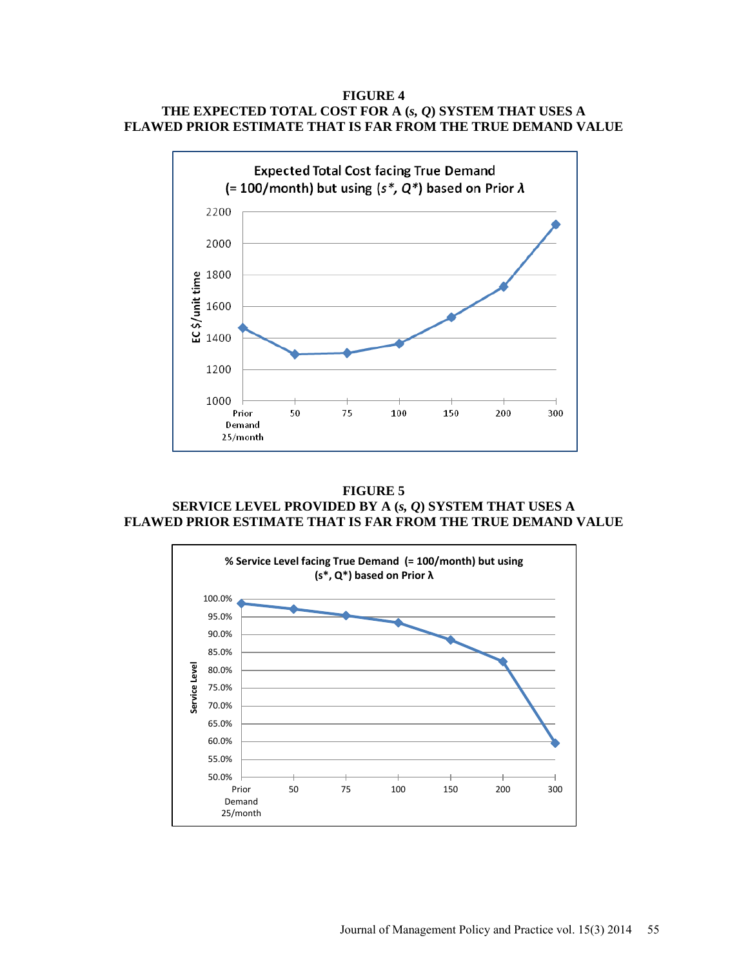### **FIGURE 4 THE EXPECTED TOTAL COST FOR A (***s, Q***) SYSTEM THAT USES A FLAWED PRIOR ESTIMATE THAT IS FAR FROM THE TRUE DEMAND VALUE**



**FIGURE 5 SERVICE LEVEL PROVIDED BY A (***s, Q***) SYSTEM THAT USES A FLAWED PRIOR ESTIMATE THAT IS FAR FROM THE TRUE DEMAND VALUE**

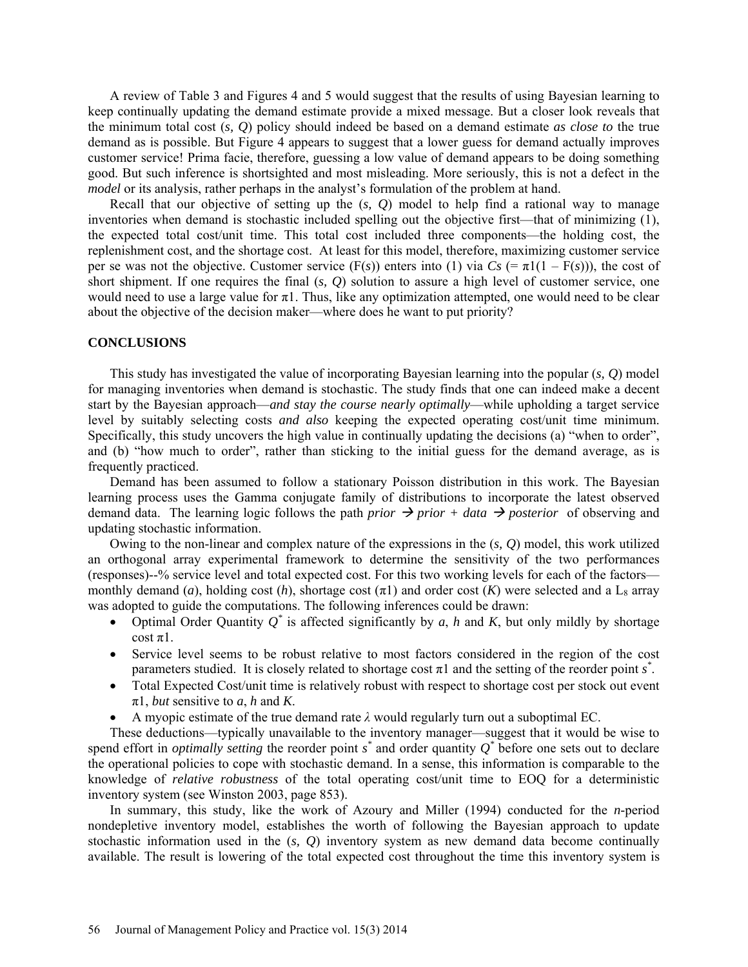A review of Table 3 and Figures 4 and 5 would suggest that the results of using Bayesian learning to keep continually updating the demand estimate provide a mixed message. But a closer look reveals that the minimum total cost (*s, Q*) policy should indeed be based on a demand estimate *as close to* the true demand as is possible. But Figure 4 appears to suggest that a lower guess for demand actually improves customer service! Prima facie, therefore, guessing a low value of demand appears to be doing something good. But such inference is shortsighted and most misleading. More seriously, this is not a defect in the *model* or its analysis, rather perhaps in the analyst's formulation of the problem at hand.

Recall that our objective of setting up the (*s, Q*) model to help find a rational way to manage inventories when demand is stochastic included spelling out the objective first—that of minimizing (1), the expected total cost/unit time. This total cost included three components—the holding cost, the replenishment cost, and the shortage cost. At least for this model, therefore, maximizing customer service per se was not the objective. Customer service  $(F(s))$  enters into (1) via  $Cs$  (=  $\pi 1(1 - F(s))$ ), the cost of short shipment. If one requires the final (*s, Q*) solution to assure a high level of customer service, one would need to use a large value for  $\pi$ 1. Thus, like any optimization attempted, one would need to be clear about the objective of the decision maker—where does he want to put priority?

### **CONCLUSIONS**

This study has investigated the value of incorporating Bayesian learning into the popular (*s, Q*) model for managing inventories when demand is stochastic. The study finds that one can indeed make a decent start by the Bayesian approach—*and stay the course nearly optimally*—while upholding a target service level by suitably selecting costs *and also* keeping the expected operating cost/unit time minimum. Specifically, this study uncovers the high value in continually updating the decisions (a) "when to order", and (b) "how much to order", rather than sticking to the initial guess for the demand average, as is frequently practiced.

Demand has been assumed to follow a stationary Poisson distribution in this work. The Bayesian learning process uses the Gamma conjugate family of distributions to incorporate the latest observed demand data. The learning logic follows the path *prior*  $\rightarrow$  *prior* + *data*  $\rightarrow$  *posterior* of observing and updating stochastic information.

Owing to the non-linear and complex nature of the expressions in the (*s, Q*) model, this work utilized an orthogonal array experimental framework to determine the sensitivity of the two performances (responses)--% service level and total expected cost. For this two working levels for each of the factors monthly demand (*a*), holding cost (*h*), shortage cost  $(\pi 1)$  and order cost (*K*) were selected and a L<sub>8</sub> array was adopted to guide the computations. The following inferences could be drawn:

- Optimal Order Quantity  $Q^*$  is affected significantly by *a*, *h* and *K*, but only mildly by shortage  $\cosh \pi 1$ .
- Service level seems to be robust relative to most factors considered in the region of the cost parameters studied. It is closely related to shortage cost  $\pi$ 1 and the setting of the reorder point  $s^*$ .
- Total Expected Cost/unit time is relatively robust with respect to shortage cost per stock out event  $\pi$ 1, *but* sensitive to *a*, *h* and *K*.
- A myopic estimate of the true demand rate  $\lambda$  would regularly turn out a suboptimal EC.

These deductions—typically unavailable to the inventory manager—suggest that it would be wise to spend effort in *optimally setting* the reorder point  $s^*$  and order quantity  $Q^*$  before one sets out to declare the operational policies to cope with stochastic demand. In a sense, this information is comparable to the knowledge of *relative robustness* of the total operating cost/unit time to EOQ for a deterministic inventory system (see Winston 2003, page 853).

In summary, this study, like the work of Azoury and Miller (1994) conducted for the *n*-period nondepletive inventory model, establishes the worth of following the Bayesian approach to update stochastic information used in the (*s, Q*) inventory system as new demand data become continually available. The result is lowering of the total expected cost throughout the time this inventory system is